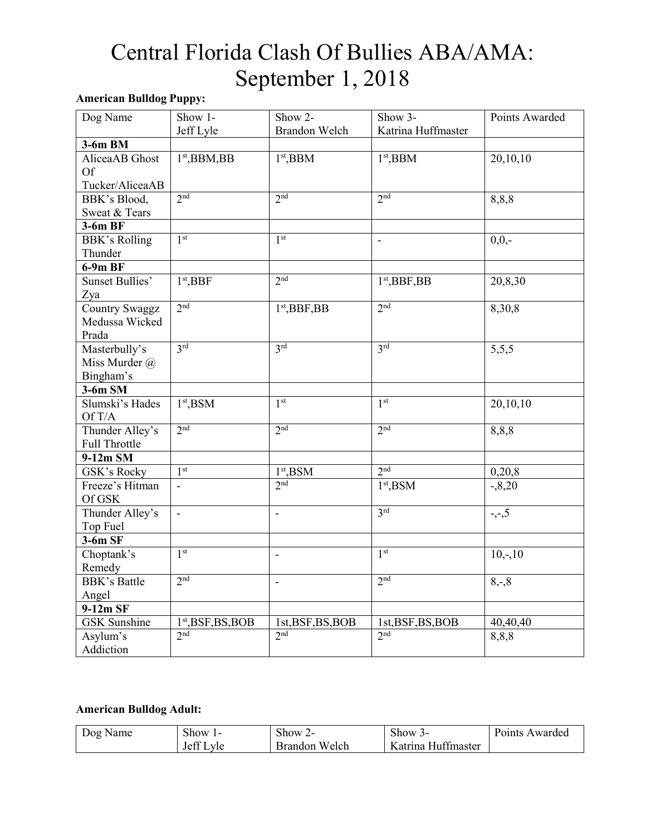#### **American Bulldog Puppy:**

| Dog Name               | Show 1-              | Show 2-           | Show 3-                  | Points Awarded |
|------------------------|----------------------|-------------------|--------------------------|----------------|
|                        | Jeff Lyle            | Brandon Welch     | Katrina Huffmaster       |                |
| 3-6m BM                |                      |                   |                          |                |
| AliceaAB Ghost         | $1st,$ BBM,BB        | $1st,$ BBM        | $1st,$ BBM               | 20,10,10       |
| <b>Of</b>              |                      |                   |                          |                |
| Tucker/AliceaAB        |                      |                   |                          |                |
| BBK's Blood,           | 2 <sub>nd</sub>      | 2 <sub>nd</sub>   | 2 <sup>nd</sup>          | 8,8,8          |
| Sweat & Tears          |                      |                   |                          |                |
| 3-6m BF                |                      |                   |                          |                |
| <b>BBK's Rolling</b>   | 1 <sup>st</sup>      | 1 <sup>st</sup>   | $\overline{\phantom{a}}$ | $0,0,-$        |
| Thunder                |                      |                   |                          |                |
| $6-9mBF$               |                      |                   |                          |                |
| <b>Sunset Bullies'</b> | $1st$ , BBF          | 2 <sup>nd</sup>   | $1st$ , BBF, BB          | 20,8,30        |
| Zya                    |                      |                   |                          |                |
| <b>Country Swaggz</b>  | 2 <sub>nd</sub>      | $1st$ , BBF, BB   | 2 <sub>nd</sub>          | 8,30,8         |
| Medussa Wicked         |                      |                   |                          |                |
| Prada                  |                      |                   |                          |                |
| Masterbully's          | 3 <sup>rd</sup>      | 3 <sup>rd</sup>   | 3 <sup>rd</sup>          | 5,5,5          |
| Miss Murder @          |                      |                   |                          |                |
| Bingham's              |                      |                   |                          |                |
| $3-6m$ SM              |                      |                   |                          |                |
| Slumski's Hades        | $1st$ , BSM          | 1 <sup>st</sup>   | 1 <sup>st</sup>          | 20,10,10       |
| Of T/A                 |                      |                   |                          |                |
| Thunder Alley's        | 2 <sub>nd</sub>      | 2 <sub>nd</sub>   | 2 <sub>nd</sub>          | 8,8,8          |
| Full Throttle          |                      |                   |                          |                |
| 9-12m SM               |                      |                   |                          |                |
| GSK's Rocky            | 1 <sup>st</sup>      | $1st$ , BSM       | 2 <sub>nd</sub>          | 0,20,8         |
| Freeze's Hitman        | $\overline{a}$       | 2 <sub>nd</sub>   | $1st$ , BSM              | $-0.8,20$      |
| Of GSK                 |                      |                   |                          |                |
| Thunder Alley's        | $\overline{a}$       | $\blacksquare$    | 3 <sup>rd</sup>          | $-,-,5$        |
| Top Fuel               |                      |                   |                          |                |
| $3-6m$ SF              |                      |                   |                          |                |
| Choptank's             | 1 <sup>st</sup>      | $\overline{a}$    | 1 <sup>st</sup>          | $10,-,10$      |
| Remedy                 |                      |                   |                          |                |
| <b>BBK's Battle</b>    | 2 <sub>nd</sub>      | $\blacksquare$    | 2 <sub>nd</sub>          | $8, -8$        |
| Angel                  |                      |                   |                          |                |
| 9-12m SF               |                      |                   |                          |                |
| <b>GSK</b> Sunshine    | $1st$ , BSF, BS, BOB | 1st, BSF, BS, BOB | 1st, BSF, BS, BOB        | 40,40,40       |
| Asylum's               | 2 <sub>nd</sub>      | 2 <sub>nd</sub>   | 2 <sub>nd</sub>          | 8,8,8          |
| Addiction              |                      |                   |                          |                |

#### **American Bulldog Adult:**

| $\overline{D}$ 0 $\overline{p}$<br>Name | ~<br>show<br>.        | $\sim$ 1<br>show.<br>. . | $\sim$<br>show                              | Points<br>Awarded |
|-----------------------------------------|-----------------------|--------------------------|---------------------------------------------|-------------------|
|                                         | $\sim$<br>.ett<br>vle | Welch<br>Brandon         | <b>TT</b><br>$\sim$<br>Hu††master<br>atrına |                   |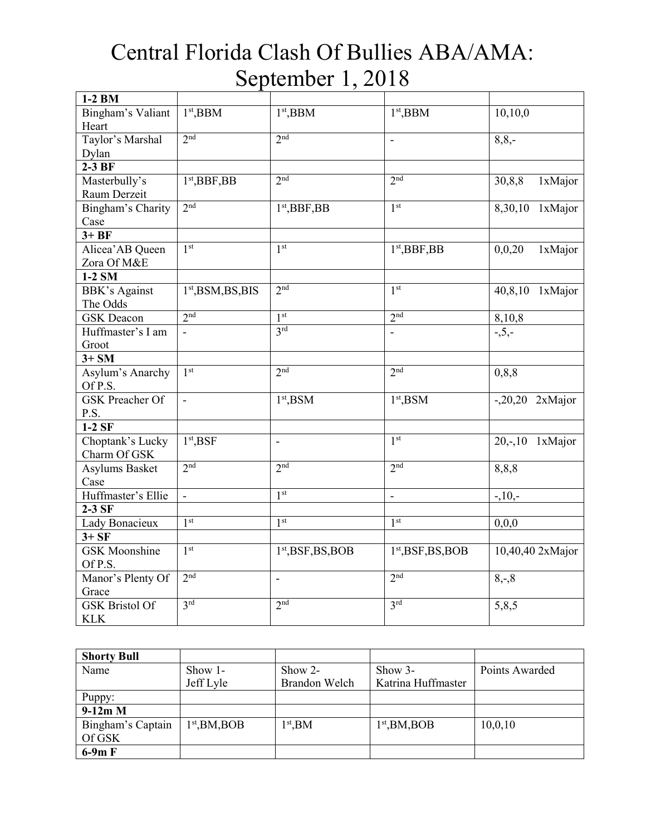| 1-2 BM                 |                          |                          |                          |                   |
|------------------------|--------------------------|--------------------------|--------------------------|-------------------|
| Bingham's Valiant      | $1st$ , BBM              | $1st$ , BBM              | $1st$ , BBM              | 10,10,0           |
| Heart                  |                          |                          |                          |                   |
| Taylor's Marshal       | 2 <sup>nd</sup>          | 2 <sup>nd</sup>          | $\overline{\phantom{a}}$ | $8,8,-$           |
| Dylan                  |                          |                          |                          |                   |
| $2-3BF$                |                          |                          |                          |                   |
| Masterbully's          | $1st$ , BBF, BB          | 2 <sub>nd</sub>          | 2 <sub>nd</sub>          | 30,8,8<br>1xMajor |
| Raum Derzeit           |                          |                          |                          |                   |
| Bingham's Charity      | 2 <sup>nd</sup>          | $1st$ , BBF, BB          | 1 <sup>st</sup>          | 8,30,10 1xMajor   |
| Case                   |                          |                          |                          |                   |
| $3+BF$                 |                          |                          |                          |                   |
| Alicea' AB Queen       | 1 <sup>st</sup>          | 1 <sup>st</sup>          | $1st$ , BBF, BB          | 1xMajor<br>0,0,20 |
| Zora Of M&E            |                          |                          |                          |                   |
| $1-2$ SM               |                          |                          |                          |                   |
| <b>BBK's Against</b>   | $1st$ , BSM, BS, BIS     | 2 <sup>nd</sup>          | 1 <sup>st</sup>          | 40,8,10 1xMajor   |
| The Odds               |                          |                          |                          |                   |
| <b>GSK</b> Deacon      | 2 <sup>nd</sup>          | 1 <sup>st</sup>          | 2 <sup>nd</sup>          | 8,10,8            |
| Huffmaster's I am      | $\overline{\phantom{a}}$ | 3 <sup>rd</sup>          | ÷,                       | $-5, -$           |
| Groot                  |                          |                          |                          |                   |
| $3+SM$                 |                          |                          |                          |                   |
| Asylum's Anarchy       | 1 <sup>st</sup>          | 2 <sup>nd</sup>          | 2 <sup>nd</sup>          | 0, 8, 8           |
| Of P.S.                |                          |                          |                          |                   |
| <b>GSK</b> Preacher Of | $\blacksquare$           | $1st$ , BSM              | $1st$ , BSM              | $-.20,20$ 2xMajor |
| P.S.                   |                          |                          |                          |                   |
| $1-2$ SF               |                          |                          |                          |                   |
| Choptank's Lucky       | $1st$ , BSF              | $\overline{\phantom{a}}$ | 1 <sup>st</sup>          | 20,-,10 1xMajor   |
| Charm Of GSK           |                          |                          |                          |                   |
| Asylums Basket         | 2 <sup>nd</sup>          | 2 <sup>nd</sup>          | 2 <sup>nd</sup>          | 8,8,8             |
| Case                   |                          |                          |                          |                   |
| Huffmaster's Ellie     | $\equiv$                 | 1 <sup>st</sup>          | $\blacksquare$           | $-10, -$          |
| $2-3$ SF               |                          |                          |                          |                   |
| Lady Bonacieux         | 1 <sup>st</sup>          | 1 <sup>st</sup>          | 1 <sup>st</sup>          | 0,0,0             |
| $3+SF$                 |                          |                          |                          |                   |
| <b>GSK</b> Moonshine   | 1 <sup>st</sup>          | $1st,$ BSF,BS,BOB        | $1st,$ BSF,BS,BOB        | 10,40,40 2xMajor  |
| Of P.S.                |                          |                          |                          |                   |
| Manor's Plenty Of      | 2 <sup>nd</sup>          | $\overline{\phantom{a}}$ | 2 <sub>nd</sub>          | $8, -8$           |
| Grace                  |                          |                          |                          |                   |
| <b>GSK Bristol Of</b>  | 3 <sup>rd</sup>          | 2 <sup>nd</sup>          | 3 <sup>rd</sup>          | 5,8,5             |
| <b>KLK</b>             |                          |                          |                          |                   |

| <b>Shorty Bull</b> |                 |               |                    |                |
|--------------------|-----------------|---------------|--------------------|----------------|
| Name               | Show $1-$       | $Show 2-$     | Show 3-            | Points Awarded |
|                    | Jeff Lyle       | Brandon Welch | Katrina Huffmaster |                |
| Puppy:             |                 |               |                    |                |
| $9-12m$ M          |                 |               |                    |                |
| Bingham's Captain  | $1st$ , BM, BOB | $1st$ , BM    | $1st$ , BM, BOB    | 10,0,10        |
| Of GSK             |                 |               |                    |                |
| $6-9m F$           |                 |               |                    |                |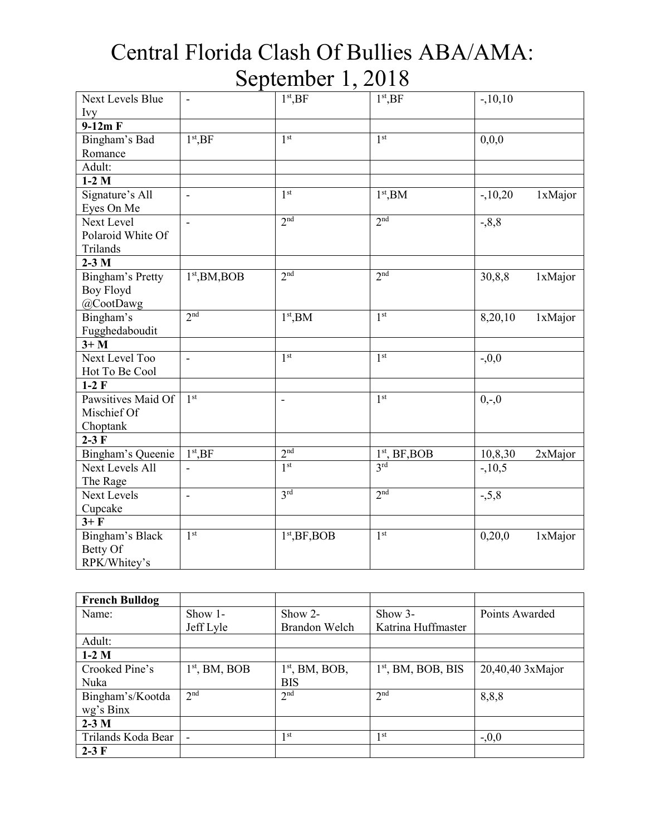| Next Levels Blue<br>Ivy | $\overline{\phantom{0}}$ | $1st$ , BF           | $1st$ , BF      | $-.10,10$            |
|-------------------------|--------------------------|----------------------|-----------------|----------------------|
| $9-12m F$               |                          |                      |                 |                      |
| Bingham's Bad           | 1 <sup>st</sup> , BF     | 1 <sup>st</sup>      | 1 <sup>st</sup> | 0,0,0                |
| Romance                 |                          |                      |                 |                      |
| Adult:                  |                          |                      |                 |                      |
| $\overline{1}$ -2 M     |                          |                      |                 |                      |
| Signature's All         | $\overline{a}$           | 1 <sup>st</sup>      | $1st$ , BM      | $-.10,20$<br>1xMajor |
| Eyes On Me              |                          |                      |                 |                      |
| Next Level              | $\overline{a}$           | 2 <sub>nd</sub>      | 2 <sub>nd</sub> | $-0.8,8$             |
| Polaroid White Of       |                          |                      |                 |                      |
| Trilands                |                          |                      |                 |                      |
| $2-3$ M                 |                          |                      |                 |                      |
| Bingham's Pretty        | $1st$ , BM, BOB          | 2 <sup>nd</sup>      | 2 <sup>nd</sup> | 30,8,8<br>1xMajor    |
| <b>Boy Floyd</b>        |                          |                      |                 |                      |
| @CootDawg               |                          |                      |                 |                      |
| Bingham's               | 2 <sup>nd</sup>          | 1 <sup>st</sup> , BM | 1 <sup>st</sup> | 8,20,10<br>1xMajor   |
| Fugghedaboudit          |                          |                      |                 |                      |
| $3+M$                   |                          |                      |                 |                      |
| Next Level Too          | $\overline{\phantom{0}}$ | 1 <sup>st</sup>      | 1 <sup>st</sup> | $-0,0$               |
| Hot To Be Cool          |                          |                      |                 |                      |
| $1-2$ F                 |                          |                      |                 |                      |
| Pawsitives Maid Of      | 1 <sup>st</sup>          | $\overline{a}$       | 1 <sup>st</sup> | $0,-0$               |
| Mischief Of             |                          |                      |                 |                      |
| Choptank                |                          |                      |                 |                      |
| $2-3F$                  |                          |                      |                 |                      |
| Bingham's Queenie       | 1 <sup>st</sup> ,BF      | 2 <sup>nd</sup>      | $1st$ , BF, BOB | 10,8,30<br>2xMajor   |
| <b>Next Levels All</b>  |                          | 1 <sup>st</sup>      | 3rd             | $-.10,5$             |
| The Rage                |                          |                      |                 |                      |
| <b>Next Levels</b>      | $\frac{1}{2}$            | 3rd                  | 2 <sup>nd</sup> | $-5,8$               |
| Cupcake                 |                          |                      |                 |                      |
| $3 + F$                 |                          |                      |                 |                      |
| Bingham's Black         | 1 <sup>st</sup>          | $1st$ , BF, BOB      | 1 <sup>st</sup> | 0,20,0<br>1xMajor    |
| Betty Of                |                          |                      |                 |                      |
| RPK/Whitey's            |                          |                      |                 |                      |

| <b>French Bulldog</b> |                 |                  |                      |                    |
|-----------------------|-----------------|------------------|----------------------|--------------------|
| Name:                 | Show $1-$       | Show 2-          | $Show 3-$            | Points Awarded     |
|                       | Jeff Lyle       | Brandon Welch    | Katrina Huffmaster   |                    |
| Adult:                |                 |                  |                      |                    |
| $1-2$ M               |                 |                  |                      |                    |
| Crooked Pine's        | $1st$ , BM, BOB | $1st$ , BM, BOB, | $1st$ , BM, BOB, BIS | $20,40,40$ 3xMajor |
| Nuka                  |                 | <b>BIS</b>       |                      |                    |
| Bingham's/Kootda      | 2 <sup>nd</sup> | 2 <sup>nd</sup>  | 2 <sup>nd</sup>      | 8,8,8              |
| wg's Binx             |                 |                  |                      |                    |
| $2-3M$                |                 |                  |                      |                    |
| Trilands Koda Bear    |                 | 1 <sub>st</sub>  | st                   | $-0,0$             |
| $2-3$ F               |                 |                  |                      |                    |